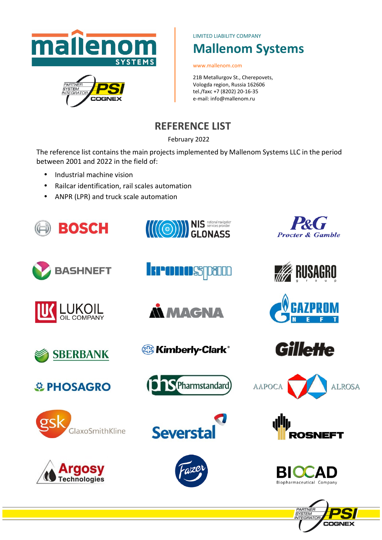

LIMITED LIABILITY COMPANY

# **Mallenom Systems**

www.mallenom.com

21B Metallurgov St., Cherepovets, Vologda region, Russia 162606 tel./faxс +7 (8202) 20-16-35 e-mail: info@mallenom.ru

# **REFERENCE LIST**

February 2022

The reference list contains the main projects implemented by Mallenom Systems LLC in the period between 2001 and 2022 in the field of:

- Industrial machine vision
- Railcar identification, rail scales automation
- ANPR (LPR) and truck scale automation

















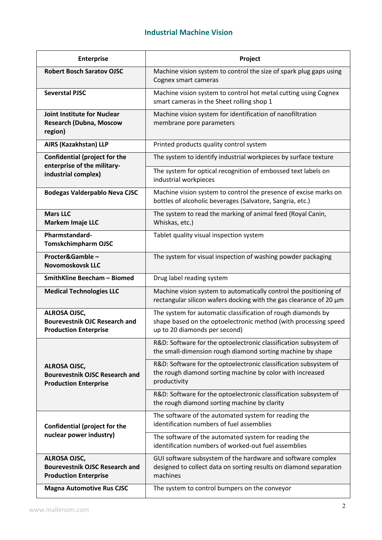## **Industrial Machine Vision**

| <b>Enterprise</b>                                                                            | Project                                                                                                                                                          |
|----------------------------------------------------------------------------------------------|------------------------------------------------------------------------------------------------------------------------------------------------------------------|
| <b>Robert Bosch Saratov OJSC</b>                                                             | Machine vision system to control the size of spark plug gaps using<br>Cognex smart cameras                                                                       |
| <b>Severstal PJSC</b>                                                                        | Machine vision system to control hot metal cutting using Cognex<br>smart cameras in the Sheet rolling shop 1                                                     |
| <b>Joint Institute for Nuclear</b><br><b>Research (Dubna, Moscow</b><br>region)              | Machine vision system for identification of nanofiltration<br>membrane pore parameters                                                                           |
| AIRS (Kazakhstan) LLP                                                                        | Printed products quality control system                                                                                                                          |
| <b>Confidential (project for the</b><br>enterprise of the military-<br>industrial complex)   | The system to identify industrial workpieces by surface texture                                                                                                  |
|                                                                                              | The system for optical recognition of embossed text labels on<br>industrial workpieces                                                                           |
| <b>Bodegas Valderpablo Neva CJSC</b>                                                         | Machine vision system to control the presence of excise marks on<br>bottles of alcoholic beverages (Salvatore, Sangria, etc.)                                    |
| <b>Mars LLC</b><br><b>Markem Imaje LLC</b>                                                   | The system to read the marking of animal feed (Royal Canin,<br>Whiskas, etc.)                                                                                    |
| Pharmstandard-<br><b>Tomskchimpharm OJSC</b>                                                 | Tablet quality visual inspection system                                                                                                                          |
| Procter&Gamble-<br><b>Novomoskovsk LLC</b>                                                   | The system for visual inspection of washing powder packaging                                                                                                     |
| <b>SmithKline Beecham - Biomed</b>                                                           | Drug label reading system                                                                                                                                        |
| <b>Medical Technologies LLC</b>                                                              | Machine vision system to automatically control the positioning of<br>rectangular silicon wafers docking with the gas clearance of 20 µm                          |
| ALROSA OJSC,<br><b>Bourevestnik OJC Research and</b><br><b>Production Enterprise</b>         | The system for automatic classification of rough diamonds by<br>shape based on the optoelectronic method (with processing speed<br>up to 20 diamonds per second) |
|                                                                                              | R&D: Software for the optoelectronic classification subsystem of<br>the small-dimension rough diamond sorting machine by shape                                   |
| <b>ALROSA OJSC,</b><br><b>Bourevestnik OJSC Research and</b><br><b>Production Enterprise</b> | R&D: Software for the optoelectronic classification subsystem of<br>the rough diamond sorting machine by color with increased<br>productivity                    |
|                                                                                              | R&D: Software for the optoelectronic classification subsystem of<br>the rough diamond sorting machine by clarity                                                 |
| <b>Confidential (project for the</b><br>nuclear power industry)                              | The software of the automated system for reading the<br>identification numbers of fuel assemblies                                                                |
|                                                                                              | The software of the automated system for reading the<br>identification numbers of worked-out fuel assemblies                                                     |
| <b>ALROSA OJSC,</b><br><b>Bourevestnik OJSC Research and</b><br><b>Production Enterprise</b> | GUI software subsystem of the hardware and software complex<br>designed to collect data on sorting results on diamond separation<br>machines                     |
| <b>Magna Automotive Rus CJSC</b>                                                             | The system to control bumpers on the conveyor                                                                                                                    |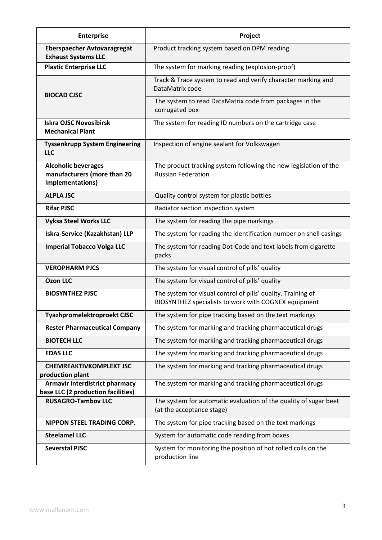| <b>Enterprise</b>                                                             | Project                                                                                                              |
|-------------------------------------------------------------------------------|----------------------------------------------------------------------------------------------------------------------|
| <b>Eberspaecher Avtovazagregat</b><br><b>Exhaust Systems LLC</b>              | Product tracking system based on DPM reading                                                                         |
| <b>Plastic Enterprise LLC</b>                                                 | The system for marking reading (explosion-proof)                                                                     |
| <b>BIOCAD CJSC</b>                                                            | Track & Trace system to read and verify character marking and<br>DataMatrix code                                     |
|                                                                               | The system to read DataMatrix code from packages in the<br>corrugated box                                            |
| <b>Iskra OJSC Novosibirsk</b><br><b>Mechanical Plant</b>                      | The system for reading ID numbers on the cartridge case                                                              |
| <b>Tyssenkrupp System Engineering</b><br><b>LLC</b>                           | Inspection of engine sealant for Volkswagen                                                                          |
| <b>Alcoholic beverages</b><br>manufacturers (more than 20<br>implementations) | The product tracking system following the new legislation of the<br><b>Russian Federation</b>                        |
| <b>ALPLA JSC</b>                                                              | Quality control system for plastic bottles                                                                           |
| <b>Rifar PJSC</b>                                                             | Radiator section inspection system                                                                                   |
| <b>Vyksa Steel Works LLC</b>                                                  | The system for reading the pipe markings                                                                             |
| Iskra-Service (Kazakhstan) LLP                                                | The system for reading the identification number on shell casings                                                    |
| <b>Imperial Tobacco Volga LLC</b>                                             | The system for reading Dot-Code and text labels from cigarette<br>packs                                              |
| <b>VEROPHARM PJCS</b>                                                         | The system for visual control of pills' quality                                                                      |
| <b>Ozon LLC</b>                                                               | The system for visual control of pills' quality                                                                      |
| <b>BIOSYNTHEZ PJSC</b>                                                        | The system for visual control of pills' quality. Training of<br>BIOSYNTHEZ specialists to work with COGNEX equipment |
| Tyazhpromelektroproekt CJSC                                                   | The system for pipe tracking based on the text markings                                                              |
| <b>Rester Pharmaceutical Company</b>                                          | The system for marking and tracking pharmaceutical drugs                                                             |
| <b>BIOTECH LLC</b>                                                            | The system for marking and tracking pharmaceutical drugs                                                             |
| <b>EDAS LLC</b>                                                               | The system for marking and tracking pharmaceutical drugs                                                             |
| <b>CHEMREAKTIVKOMPLEKT JSC</b><br>production plant                            | The system for marking and tracking pharmaceutical drugs                                                             |
| Armavir interdistrict pharmacy<br>base LLC (2 production facilities)          | The system for marking and tracking pharmaceutical drugs                                                             |
| <b>RUSAGRO-Tambov LLC</b>                                                     | The system for automatic evaluation of the quality of sugar beet<br>(at the acceptance stage)                        |
| NIPPON STEEL TRADING CORP.                                                    | The system for pipe tracking based on the text markings                                                              |
| <b>Steelamel LLC</b>                                                          | System for automatic code reading from boxes                                                                         |
| <b>Severstal PJSC</b>                                                         | System for monitoring the position of hot rolled coils on the<br>production line                                     |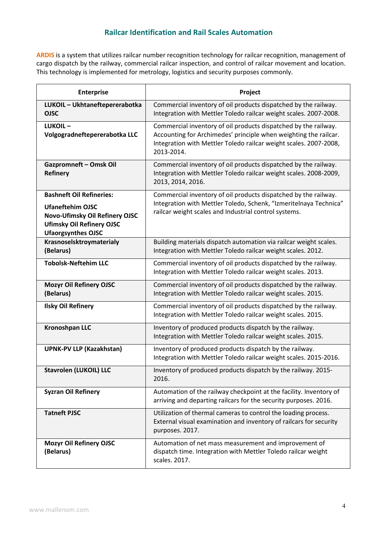### **Railcar Identification and Rail Scales Automation**

**ARDIS** is a system that utilizes railcar number recognition technology for railcar recognition, management of cargo dispatch by the railway, commercial railcar inspection, and control of railcar movement and location. This technology is implemented for metrology, logistics and security purposes commonly.

| <b>Enterprise</b>                                                                                                                                             | Project                                                                                                                                                                                                                |
|---------------------------------------------------------------------------------------------------------------------------------------------------------------|------------------------------------------------------------------------------------------------------------------------------------------------------------------------------------------------------------------------|
| LUKOIL - Ukhtaneftepererabotka<br><b>OJSC</b>                                                                                                                 | Commercial inventory of oil products dispatched by the railway.<br>Integration with Mettler Toledo railcar weight scales. 2007-2008.                                                                                   |
| LUKOIL-<br>Volgogradneftepererabotka LLC                                                                                                                      | Commercial inventory of oil products dispatched by the railway.<br>Accounting for Archimedes' principle when weighting the railcar.<br>Integration with Mettler Toledo railcar weight scales. 2007-2008,<br>2013-2014. |
| Gazpromneft - Omsk Oil<br><b>Refinery</b>                                                                                                                     | Commercial inventory of oil products dispatched by the railway.<br>Integration with Mettler Toledo railcar weight scales. 2008-2009,<br>2013, 2014, 2016.                                                              |
| <b>Bashneft Oil Refineries:</b><br><b>Ufaneftehim OJSC</b><br>Novo-Ufimsky Oil Refinery OJSC<br><b>Ufimsky Oil Refinery OJSC</b><br><b>Ufaorgsynthes OJSC</b> | Commercial inventory of oil products dispatched by the railway.<br>Integration with Mettler Toledo, Schenk, "Izmeritelnaya Technica"<br>railcar weight scales and Industrial control systems.                          |
| Krasnoselsktroymaterialy<br>(Belarus)                                                                                                                         | Building materials dispatch automation via railcar weight scales.<br>Integration with Mettler Toledo railcar weight scales. 2012.                                                                                      |
| <b>Tobolsk-Neftehim LLC</b>                                                                                                                                   | Commercial inventory of oil products dispatched by the railway.<br>Integration with Mettler Toledo railcar weight scales. 2013.                                                                                        |
| <b>Mozyr Oil Refinery OJSC</b><br>(Belarus)                                                                                                                   | Commercial inventory of oil products dispatched by the railway.<br>Integration with Mettler Toledo railcar weight scales. 2015.                                                                                        |
| <b>Ilsky Oil Refinery</b>                                                                                                                                     | Commercial inventory of oil products dispatched by the railway.<br>Integration with Mettler Toledo railcar weight scales. 2015.                                                                                        |
| <b>Kronoshpan LLC</b>                                                                                                                                         | Inventory of produced products dispatch by the railway.<br>Integration with Mettler Toledo railcar weight scales. 2015.                                                                                                |
| <b>UPNK-PV LLP (Kazakhstan)</b>                                                                                                                               | Inventory of produced products dispatch by the railway.<br>Integration with Mettler Toledo railcar weight scales. 2015-2016.                                                                                           |
| <b>Stavrolen (LUKOIL) LLC</b>                                                                                                                                 | Inventory of produced products dispatch by the railway. 2015-<br>2016.                                                                                                                                                 |
| <b>Syzran Oil Refinery</b>                                                                                                                                    | Automation of the railway checkpoint at the facility. Inventory of<br>arriving and departing railcars for the security purposes. 2016.                                                                                 |
| <b>Tatneft PJSC</b>                                                                                                                                           | Utilization of thermal cameras to control the loading process.<br>External visual examination and inventory of railcars for security<br>purposes. 2017.                                                                |
| <b>Mozyr Oil Refinery OJSC</b><br>(Belarus)                                                                                                                   | Automation of net mass measurement and improvement of<br>dispatch time. Integration with Mettler Toledo railcar weight<br>scales. 2017.                                                                                |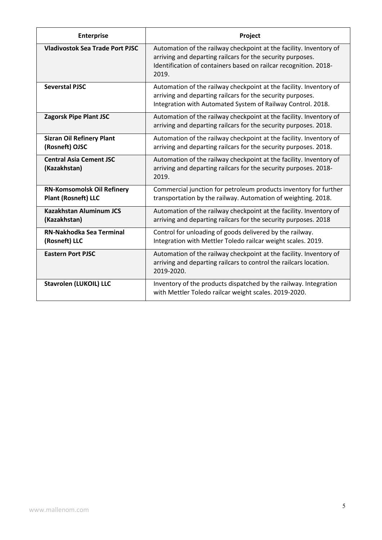| <b>Enterprise</b>                                               | Project                                                                                                                                                                                                       |
|-----------------------------------------------------------------|---------------------------------------------------------------------------------------------------------------------------------------------------------------------------------------------------------------|
| <b>Vladivostok Sea Trade Port PJSC</b>                          | Automation of the railway checkpoint at the facility. Inventory of<br>arriving and departing railcars for the security purposes.<br>Identification of containers based on railcar recognition. 2018-<br>2019. |
| <b>Severstal PJSC</b>                                           | Automation of the railway checkpoint at the facility. Inventory of<br>arriving and departing railcars for the security purposes.<br>Integration with Automated System of Railway Control. 2018.               |
| <b>Zagorsk Pipe Plant JSC</b>                                   | Automation of the railway checkpoint at the facility. Inventory of<br>arriving and departing railcars for the security purposes. 2018.                                                                        |
| <b>Sizran Oil Refinery Plant</b><br>(Rosneft) OJSC              | Automation of the railway checkpoint at the facility. Inventory of<br>arriving and departing railcars for the security purposes. 2018.                                                                        |
| <b>Central Asia Cement JSC</b><br>(Kazakhstan)                  | Automation of the railway checkpoint at the facility. Inventory of<br>arriving and departing railcars for the security purposes. 2018-<br>2019.                                                               |
| <b>RN-Komsomolsk Oil Refinery</b><br><b>Plant (Rosneft) LLC</b> | Commercial junction for petroleum products inventory for further<br>transportation by the railway. Automation of weighting. 2018.                                                                             |
| <b>Kazakhstan Aluminum JCS</b><br>(Kazakhstan)                  | Automation of the railway checkpoint at the facility. Inventory of<br>arriving and departing railcars for the security purposes. 2018                                                                         |
| <b>RN-Nakhodka Sea Terminal</b><br>(Rosneft) LLC                | Control for unloading of goods delivered by the railway.<br>Integration with Mettler Toledo railcar weight scales. 2019.                                                                                      |
| <b>Eastern Port PJSC</b>                                        | Automation of the railway checkpoint at the facility. Inventory of<br>arriving and departing railcars to control the railcars location.<br>2019-2020.                                                         |
| <b>Stavrolen (LUKOIL) LLC</b>                                   | Inventory of the products dispatched by the railway. Integration<br>with Mettler Toledo railcar weight scales. 2019-2020.                                                                                     |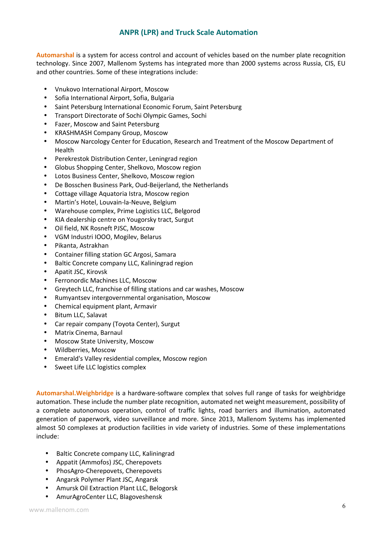#### **ANPR (LPR) and Truck Scale Automation**

**Automarshal** is a system for access control and account of vehicles based on the number plate recognition technology. Since 2007, Mallenom Systems has integrated more than 2000 systems across Russia, CIS, EU and other countries. Some of these integrations include:

- Vnukovo International Airport, Moscow
- Sofia International Airport, Sofia, Bulgaria
- Saint Petersburg International Economic Forum, Saint Petersburg
- Transport Directorate of Sochi Olympic Games, Sochi
- Fazer, Moscow and Saint Petersburg
- KRASHMASH Company Group, Moscow
- Moscow Narcology Center for Education, Research and Treatment of the Moscow Department of Health
- Perekrestok Distribution Center, Leningrad region
- Globus Shopping Center, Shelkovo, Moscow region
- Lotos Business Center, Shelkovo, Moscow region
- De Bosschen Business Park, Oud-Beijerland, the Netherlands
- Cottage village Aquatoria Istra, Moscow region
- Martin's Hotel, Louvain-la-Neuve, Belgium
- Warehouse complex, Prime Logistics LLC, Belgorod
- KIA dealership centre on Yougorsky tract, Surgut
- Oil field, NK Rosneft PJSC, Moscow
- VGM Industri IOOO, Mogilev, Belarus
- Pikanta, Astrakhan
- Container filling station GC Argosi, Samara
- Baltic Concrete company LLC, Kaliningrad region
- Apatit JSC, Kirovsk
- Ferronordic Machines LLC, Moscow
- Greytech LLC, franchise of filling stations and car washes, Moscow
- Rumyantsev intergovernmental organisation, Moscow
- Chemical equipment plant, Armavir
- Bitum LLC, Salavat
- Car repair company (Toyota Center), Surgut
- Matrix Cinema, Barnaul
- Moscow State University, Moscow
- Wildberries, Moscow
- Emerald's Valley residential complex, Moscow region
- Sweet Life LLC logistics complex

**Automarshal.Weighbridge** is a hardware-software complex that solves full range of tasks for weighbridge automation. These include the number plate recognition, automated net weight measurement, possibility of a complete autonomous operation, control of traffic lights, road barriers and illumination, automated generation of paperwork, video surveillance and more. Since 2013, Mallenom Systems has implemented almost 50 complexes at production facilities in vide variety of industries. Some of these implementations include:

- Baltic Concrete company LLC, Kaliningrad
- Appatit (Ammofos) JSC, Cherepovets
- PhosAgro-Cherepovets, Cherepovets
- Angarsk Polymer Plant JSC, Angarsk
- Amursk Oil Extraction Plant LLC, Belogorsk
- AmurAgroCenter LLC, Blagoveshensk